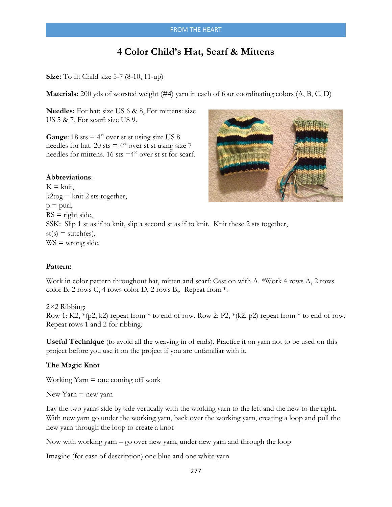# **4 Color Child's Hat, Scarf & Mittens**

**Size:** To fit Child size 5-7 (8-10, 11-up)

**Materials:** 200 yds of worsted weight (#4) yarn in each of four coordinating colors (A, B, C, D)

**Needles:** For hat: size US 6 & 8, For mittens: size US 5 & 7, For scarf: size US 9.

**Gauge:** 18 sts  $= 4$ " over st st using size US 8 needles for hat. 20 sts  $= 4$ " over st st using size 7 needles for mittens. 16 sts =4" over st st for scarf.

#### **Abbreviations**:

 $K = k$ nit,  $k2$ tog = knit 2 sts together,  $p =$ purl,  $RS = right side,$ SSK: Slip 1 st as if to knit, slip a second st as if to knit. Knit these 2 sts together,  $st(s) = stitch(es),$  $WS =$  wrong side.

### **Pattern:**

Work in color pattern throughout hat, mitten and scarf: Cast on with A. \*Work 4 rows A, 2 rows color B, 2 rows C, 4 rows color D, 2 rows B,. Repeat from \*.

2×2 Ribbing: Row 1: K2,  $*(p2, k2)$  repeat from  $*$  to end of row. Row 2: P2,  $*(k2, p2)$  repeat from  $*$  to end of row. Repeat rows 1 and 2 for ribbing.

**Useful Technique** (to avoid all the weaving in of ends). Practice it on yarn not to be used on this project before you use it on the project if you are unfamiliar with it.

#### **The Magic Knot**

Working  $Yarn = one coming off work$ 

New Yarn  $=$  new yarn

Lay the two yarns side by side vertically with the working yarn to the left and the new to the right. With new yarn go under the working yarn, back over the working yarn, creating a loop and pull the new yarn through the loop to create a knot

Now with working yarn – go over new yarn, under new yarn and through the loop

Imagine (for ease of description) one blue and one white yarn

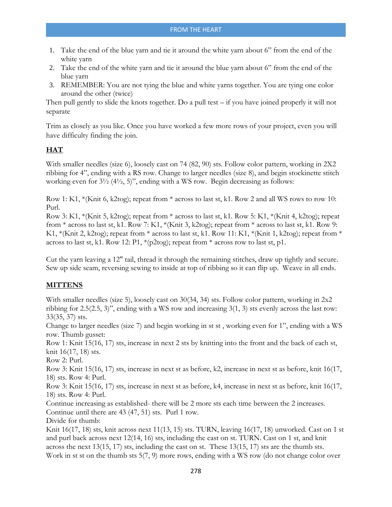- 1. Take the end of the blue yarn and tie it around the white yarn about 6" from the end of the white yarn
- 2. Take the end of the white yarn and tie it around the blue yarn about 6" from the end of the blue yarn
- 3. REMEMBER: You are not tying the blue and white yarns together. You are tying one color around the other (twice)

Then pull gently to slide the knots together. Do a pull test – if you have joined properly it will not separate

Trim as closely as you like. Once you have worked a few more rows of your project, even you will have difficulty finding the join.

## **HAT**

With smaller needles (size 6), loosely cast on 74 (82, 90) sts. Follow color pattern, working in 2X2 ribbing for 4", ending with a RS row. Change to larger needles (size 8), and begin stockinette stitch working even for 3½ (4½, 5)", ending with a WS row. Begin decreasing as follows:

Row 1: K1, \*(Knit 6, k2tog); repeat from \* across to last st, k1. Row 2 and all WS rows to row 10: Purl.

Row 3: K1, \*(Knit 5, k2tog); repeat from \* across to last st, k1. Row 5: K1, \*(Knit 4, k2tog); repeat from \* across to last st, k1. Row 7: K1, \*(Knit 3, k2tog); repeat from \* across to last st, k1. Row 9: K1, \*(Knit 2, k2tog); repeat from \* across to last st, k1. Row 11: K1, \*(Knit 1, k2tog); repeat from \* across to last st, k1. Row 12: P1,  $*(p2top)$ ; repeat from  $*$  across row to last st, p1.

Cut the yarn leaving a 12" tail, thread it through the remaining stitches, draw up tightly and secure. Sew up side seam, reversing sewing to inside at top of ribbing so it can flip up. Weave in all ends.

### **MITTENS**

With smaller needles (size 5), loosely cast on 30(34, 34) sts. Follow color pattern, working in 2x2 ribbing for 2.5(2.5, 3)", ending with a WS row and increasing 3(1, 3) sts evenly across the last row: 33(35, 37) sts.

Change to larger needles (size 7) and begin working in st st , working even for 1", ending with a WS row. Thumb gusset:

Row 1: Knit 15(16, 17) sts, increase in next 2 sts by knitting into the front and the back of each st, knit 16(17, 18) sts.

Row 2: Purl.

Row 3: Knit 15(16, 17) sts, increase in next st as before, k2, increase in next st as before, knit 16(17, 18) sts. Row 4: Purl.

Row 3: Knit 15(16, 17) sts, increase in next st as before, k4, increase in next st as before, knit 16(17, 18) sts. Row 4: Purl.

Continue increasing as established- there will be 2 more sts each time between the 2 increases. Continue until there are 43 (47, 51) sts. Purl 1 row.

Divide for thumb:

Knit 16(17, 18) sts, knit across next 11(13, 15) sts. TURN, leaving 16(17, 18) unworked. Cast on 1 st and purl back across next 12(14, 16) sts, including the cast on st. TURN. Cast on 1 st, and knit across the next 13(15, 17) sts, including the cast on st. These 13(15, 17) sts are the thumb sts. Work in st st on the thumb sts 5(7, 9) more rows, ending with a WS row (do not change color over